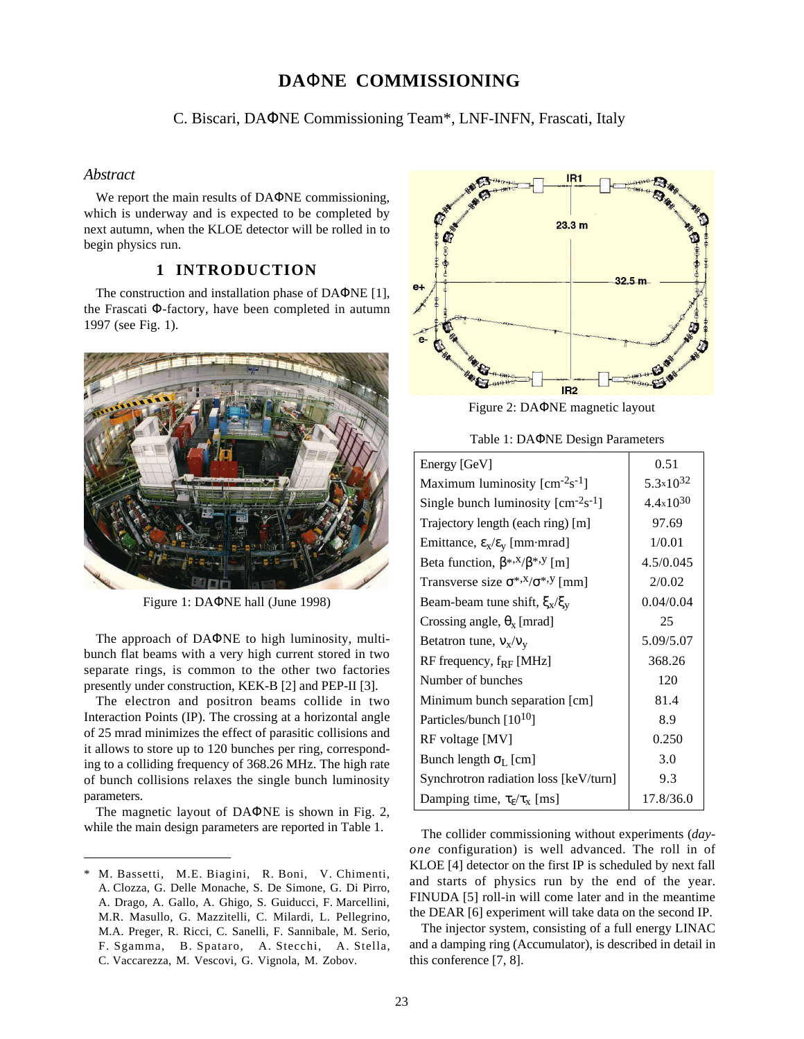# **DA**Φ**NE COMMISSIONING**

C. Biscari, DAΦNE Commissioning Team\*, LNF-INFN, Frascati, Italy

## *Abstract*

We report the main results of DAΦNE commissioning, which is underway and is expected to be completed by next autumn, when the KLOE detector will be rolled in to begin physics run.

## **1 INTRODUCTION**

The construction and installation phase of DAΦNE [1], the Frascati Φ-factory, have been completed in autumn 1997 (see Fig. 1).



Figure 1: DAΦNE hall (June 1998)

The approach of DAΦNE to high luminosity, multibunch flat beams with a very high current stored in two separate rings, is common to the other two factories presently under construction, KEK-B [2] and PEP-II [3].

The electron and positron beams collide in two Interaction Points (IP). The crossing at a horizontal angle of 25 mrad minimizes the effect of parasitic collisions and it allows to store up to 120 bunches per ring, corresponding to a colliding frequency of 368.26 MHz. The high rate of bunch collisions relaxes the single bunch luminosity parameters.

The magnetic layout of DAΦNE is shown in Fig. 2, while the main design parameters are reported in Table 1.

 $\overline{a}$ 



Figure 2: DAΦNE magnetic layout

Table 1: DAΦNE Design Parameters

| Energy [GeV]                                     | 0.51                 |
|--------------------------------------------------|----------------------|
| Maximum luminosity $[cm^{-2}s^{-1}]$             | $5.3 \times 10^{32}$ |
| Single bunch luminosity $[cm-2s-1]$              | $4.4 \times 10^{30}$ |
| Trajectory length (each ring) [m]                | 97.69                |
| Emittance, $\epsilon_{x}/\epsilon_{y}$ [mm·mrad] | 1/0.01               |
| Beta function, $\beta^{*,x}/\beta^{*,y}$ [m]     | 4.5/0.045            |
| Transverse size $\sigma^{*,x}/\sigma^{*,y}$ [mm] | 2/0.02               |
| Beam-beam tune shift, $\xi_{x}/\xi_{v}$          | 0.04/0.04            |
| Crossing angle, $\theta_x$ [mrad]                | 25                   |
| Betatron tune, $v_x/v_y$                         | 5.09/5.07            |
| RF frequency, $f_{RF}$ [MHz]                     | 368.26               |
| Number of bunches                                | 120                  |
| Minimum bunch separation [cm]                    | 81.4                 |
| Particles/bunch [10 <sup>10</sup> ]              | 8.9                  |
| RF voltage [MV]                                  | 0.250                |
| Bunch length $\sigma_L$ [cm]                     | 3.0                  |
| Synchrotron radiation loss [keV/turn]            | 9.3                  |
| Damping time, $\tau_{\rm g}/\tau_{\rm x}$ [ms]   | 17.8/36.0            |

The collider commissioning without experiments (*dayone* configuration) is well advanced. The roll in of KLOE [4] detector on the first IP is scheduled by next fall and starts of physics run by the end of the year. FINUDA [5] roll-in will come later and in the meantime the DEAR [6] experiment will take data on the second IP.

The injector system, consisting of a full energy LINAC and a damping ring (Accumulator), is described in detail in this conference [7, 8].

<sup>\*</sup> M. Bassetti, M.E. Biagini, R. Boni, V. Chimenti, A. Clozza, G. Delle Monache, S. De Simone, G. Di Pirro, A. Drago, A. Gallo, A. Ghigo, S. Guiducci, F. Marcellini, M.R. Masullo, G. Mazzitelli, C. Milardi, L. Pellegrino, M.A. Preger, R. Ricci, C. Sanelli, F. Sannibale, M. Serio, F. Sgamma, B. Spataro, A. Stecchi, A. Stella, C. Vaccarezza, M. Vescovi, G. Vignola, M. Zobov.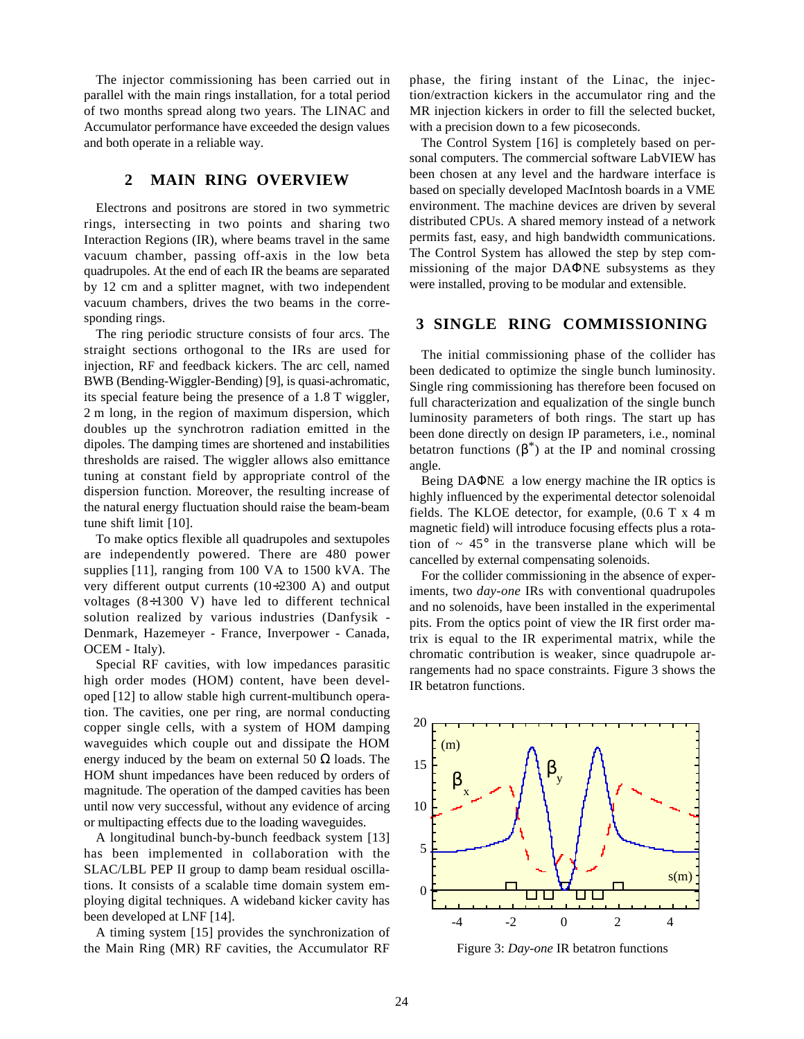The injector commissioning has been carried out in parallel with the main rings installation, for a total period of two months spread along two years. The LINAC and Accumulator performance have exceeded the design values and both operate in a reliable way.

#### **2 MAIN RING OVERVIEW**

Electrons and positrons are stored in two symmetric rings, intersecting in two points and sharing two Interaction Regions (IR), where beams travel in the same vacuum chamber, passing off-axis in the low beta quadrupoles. At the end of each IR the beams are separated by 12 cm and a splitter magnet, with two independent vacuum chambers, drives the two beams in the corresponding rings.

The ring periodic structure consists of four arcs. The straight sections orthogonal to the IRs are used for injection, RF and feedback kickers. The arc cell, named BWB (Bending-Wiggler-Bending) [9], is quasi-achromatic, its special feature being the presence of a 1.8 T wiggler, 2 m long, in the region of maximum dispersion, which doubles up the synchrotron radiation emitted in the dipoles. The damping times are shortened and instabilities thresholds are raised. The wiggler allows also emittance tuning at constant field by appropriate control of the dispersion function. Moreover, the resulting increase of the natural energy fluctuation should raise the beam-beam tune shift limit [10].

To make optics flexible all quadrupoles and sextupoles are independently powered. There are 480 power supplies [11], ranging from 100 VA to 1500 kVA. The very different output currents (10÷2300 A) and output voltages (8÷1300 V) have led to different technical solution realized by various industries (Danfysik - Denmark, Hazemeyer - France, Inverpower - Canada, OCEM - Italy).

Special RF cavities, with low impedances parasitic high order modes (HOM) content, have been developed [12] to allow stable high current-multibunch operation. The cavities, one per ring, are normal conducting copper single cells, with a system of HOM damping waveguides which couple out and dissipate the HOM energy induced by the beam on external 50  $\Omega$  loads. The HOM shunt impedances have been reduced by orders of magnitude. The operation of the damped cavities has been until now very successful, without any evidence of arcing or multipacting effects due to the loading waveguides.

A longitudinal bunch-by-bunch feedback system [13] has been implemented in collaboration with the SLAC/LBL PEP II group to damp beam residual oscillations. It consists of a scalable time domain system employing digital techniques. A wideband kicker cavity has been developed at LNF [14].

A timing system [15] provides the synchronization of the Main Ring (MR) RF cavities, the Accumulator RF

phase, the firing instant of the Linac, the injection/extraction kickers in the accumulator ring and the MR injection kickers in order to fill the selected bucket, with a precision down to a few picoseconds.

The Control System [16] is completely based on personal computers. The commercial software LabVIEW has been chosen at any level and the hardware interface is based on specially developed MacIntosh boards in a VME environment. The machine devices are driven by several distributed CPUs. A shared memory instead of a network permits fast, easy, and high bandwidth communications. The Control System has allowed the step by step commissioning of the major DAΦNE subsystems as they were installed, proving to be modular and extensible.

## **3 SINGLE RING COMMISSIONING**

The initial commissioning phase of the collider has been dedicated to optimize the single bunch luminosity. Single ring commissioning has therefore been focused on full characterization and equalization of the single bunch luminosity parameters of both rings. The start up has been done directly on design IP parameters, i.e., nominal betatron functions  $(\beta^*)$  at the IP and nominal crossing angle.

Being DAΦNE a low energy machine the IR optics is highly influenced by the experimental detector solenoidal fields. The KLOE detector, for example, (0.6 T x 4 m magnetic field) will introduce focusing effects plus a rotation of  $\sim$  45 $\degree$  in the transverse plane which will be cancelled by external compensating solenoids.

For the collider commissioning in the absence of experiments, two *day-one* IRs with conventional quadrupoles and no solenoids, have been installed in the experimental pits. From the optics point of view the IR first order matrix is equal to the IR experimental matrix, while the chromatic contribution is weaker, since quadrupole arrangements had no space constraints. Figure 3 shows the IR betatron functions.



Figure 3: *Day-one* IR betatron functions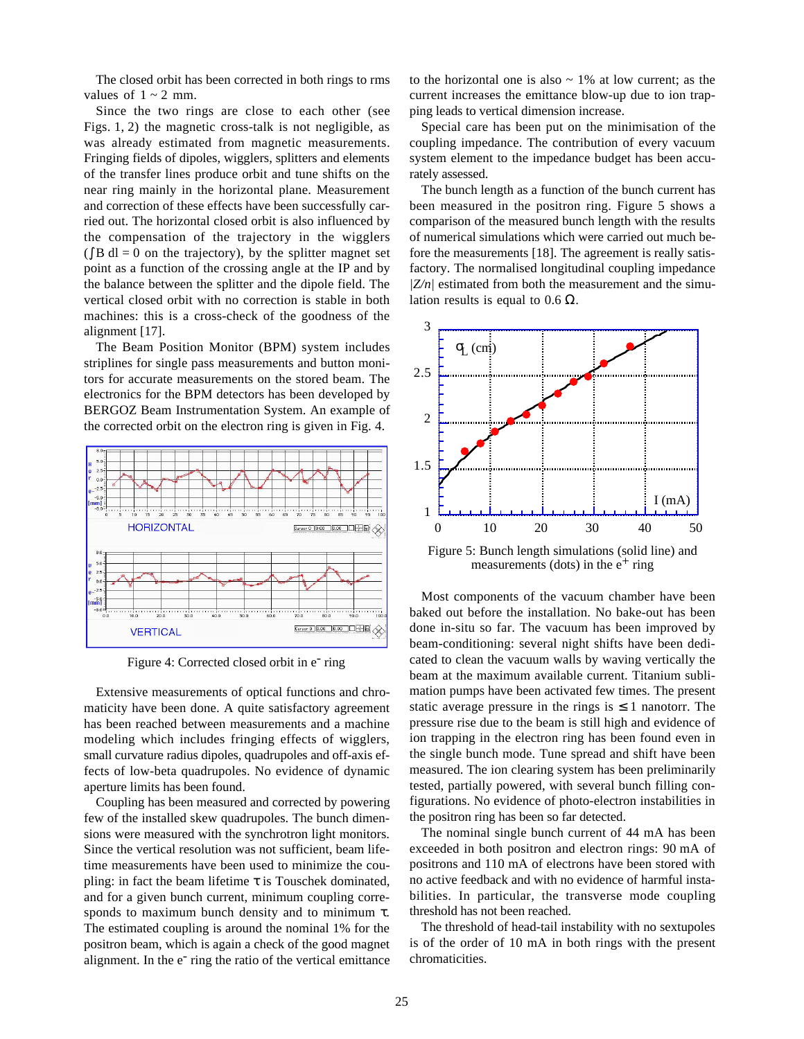The closed orbit has been corrected in both rings to rms values of  $1 \sim 2$  mm.

Since the two rings are close to each other (see Figs. 1, 2) the magnetic cross-talk is not negligible, as was already estimated from magnetic measurements. Fringing fields of dipoles, wigglers, splitters and elements of the transfer lines produce orbit and tune shifts on the near ring mainly in the horizontal plane. Measurement and correction of these effects have been successfully carried out. The horizontal closed orbit is also influenced by the compensation of the trajectory in the wigglers  $(\int B \, dl = 0$  on the trajectory), by the splitter magnet set point as a function of the crossing angle at the IP and by the balance between the splitter and the dipole field. The vertical closed orbit with no correction is stable in both machines: this is a cross-check of the goodness of the alignment [17].

The Beam Position Monitor (BPM) system includes striplines for single pass measurements and button monitors for accurate measurements on the stored beam. The electronics for the BPM detectors has been developed by BERGOZ Beam Instrumentation System. An example of the corrected orbit on the electron ring is given in Fig. 4.



Figure 4: Corrected closed orbit in e<sup>-</sup> ring

Extensive measurements of optical functions and chromaticity have been done. A quite satisfactory agreement has been reached between measurements and a machine modeling which includes fringing effects of wigglers, small curvature radius dipoles, quadrupoles and off-axis effects of low-beta quadrupoles. No evidence of dynamic aperture limits has been found.

Coupling has been measured and corrected by powering few of the installed skew quadrupoles. The bunch dimensions were measured with the synchrotron light monitors. Since the vertical resolution was not sufficient, beam lifetime measurements have been used to minimize the coupling: in fact the beam lifetime  $\tau$  is Touschek dominated, and for a given bunch current, minimum coupling corresponds to maximum bunch density and to minimum  $\tau$ . The estimated coupling is around the nominal 1% for the positron beam, which is again a check of the good magnet alignment. In the e<sup>-</sup> ring the ratio of the vertical emittance to the horizontal one is also  $\sim$  1% at low current; as the current increases the emittance blow-up due to ion trapping leads to vertical dimension increase.

Special care has been put on the minimisation of the coupling impedance. The contribution of every vacuum system element to the impedance budget has been accurately assessed.

The bunch length as a function of the bunch current has been measured in the positron ring. Figure 5 shows a comparison of the measured bunch length with the results of numerical simulations which were carried out much before the measurements [18]. The agreement is really satisfactory. The normalised longitudinal coupling impedance *|Z/n|* estimated from both the measurement and the simulation results is equal to 0.6  $\Omega$ .



Figure 5: Bunch length simulations (solid line) and measurements (dots) in the  $e^+$  ring

Most components of the vacuum chamber have been baked out before the installation. No bake-out has been done in-situ so far. The vacuum has been improved by beam-conditioning: several night shifts have been dedicated to clean the vacuum walls by waving vertically the beam at the maximum available current. Titanium sublimation pumps have been activated few times. The present static average pressure in the rings is  $\leq 1$  nanotorr. The pressure rise due to the beam is still high and evidence of ion trapping in the electron ring has been found even in the single bunch mode. Tune spread and shift have been measured. The ion clearing system has been preliminarily tested, partially powered, with several bunch filling configurations. No evidence of photo-electron instabilities in the positron ring has been so far detected.

The nominal single bunch current of 44 mA has been exceeded in both positron and electron rings: 90 mA of positrons and 110 mA of electrons have been stored with no active feedback and with no evidence of harmful instabilities. In particular, the transverse mode coupling threshold has not been reached.

The threshold of head-tail instability with no sextupoles is of the order of 10 mA in both rings with the present chromaticities.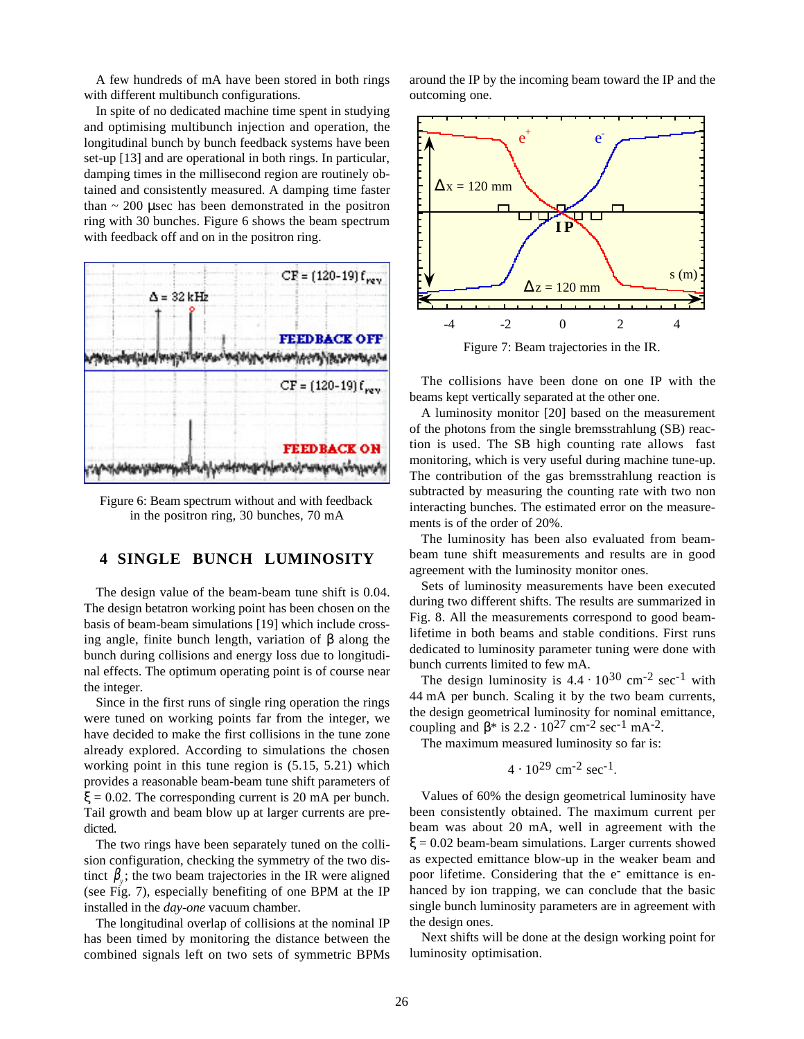A few hundreds of mA have been stored in both rings with different multibunch configurations.

In spite of no dedicated machine time spent in studying and optimising multibunch injection and operation, the longitudinal bunch by bunch feedback systems have been set-up [13] and are operational in both rings. In particular, damping times in the millisecond region are routinely obtained and consistently measured. A damping time faster than  $\sim$  200 µsec has been demonstrated in the positron ring with 30 bunches. Figure 6 shows the beam spectrum with feedback off and on in the positron ring.



Figure 6: Beam spectrum without and with feedback in the positron ring, 30 bunches, 70 mA

# **4 SINGLE BUNCH LUMINOSITY**

The design value of the beam-beam tune shift is 0.04. The design betatron working point has been chosen on the basis of beam-beam simulations [19] which include crossing angle, finite bunch length, variation of β along the bunch during collisions and energy loss due to longitudinal effects. The optimum operating point is of course near the integer.

Since in the first runs of single ring operation the rings were tuned on working points far from the integer, we have decided to make the first collisions in the tune zone already explored. According to simulations the chosen working point in this tune region is (5.15, 5.21) which provides a reasonable beam-beam tune shift parameters of  $\xi = 0.02$ . The corresponding current is 20 mA per bunch. Tail growth and beam blow up at larger currents are predicted.

The two rings have been separately tuned on the collision configuration, checking the symmetry of the two distinct  $\beta$ <sub>*i*</sub>; the two beam trajectories in the IR were aligned (see Fig. 7), especially benefiting of one BPM at the IP installed in the *day-one* vacuum chamber.

The longitudinal overlap of collisions at the nominal IP has been timed by monitoring the distance between the combined signals left on two sets of symmetric BPMs around the IP by the incoming beam toward the IP and the outcoming one.



Figure 7: Beam trajectories in the IR.

The collisions have been done on one IP with the beams kept vertically separated at the other one.

A luminosity monitor [20] based on the measurement of the photons from the single bremsstrahlung (SB) reaction is used. The SB high counting rate allows fast monitoring, which is very useful during machine tune-up. The contribution of the gas bremsstrahlung reaction is subtracted by measuring the counting rate with two non interacting bunches. The estimated error on the measurements is of the order of 20%.

The luminosity has been also evaluated from beambeam tune shift measurements and results are in good agreement with the luminosity monitor ones.

Sets of luminosity measurements have been executed during two different shifts. The results are summarized in Fig. 8. All the measurements correspond to good beamlifetime in both beams and stable conditions. First runs dedicated to luminosity parameter tuning were done with bunch currents limited to few mA.

The design luminosity is  $4.4 \cdot 10^{30}$  cm<sup>-2</sup> sec<sup>-1</sup> with 44 mA per bunch. Scaling it by the two beam currents, the design geometrical luminosity for nominal emittance, coupling and  $\beta$ \* is 2.2 · 10<sup>27</sup> cm<sup>-2</sup> sec<sup>-1</sup> mA<sup>-2</sup>.

The maximum measured luminosity so far is:

$$
4 \cdot 10^{29}
$$
 cm<sup>-2</sup> sec<sup>-1</sup>.

Values of 60% the design geometrical luminosity have been consistently obtained. The maximum current per beam was about 20 mA, well in agreement with the  $\xi = 0.02$  beam-beam simulations. Larger currents showed as expected emittance blow-up in the weaker beam and poor lifetime. Considering that the  $e^-$  emittance is enhanced by ion trapping, we can conclude that the basic single bunch luminosity parameters are in agreement with the design ones.

Next shifts will be done at the design working point for luminosity optimisation.